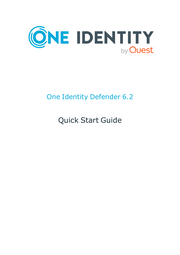

# One Identity Defender 6.2

Quick Start Guide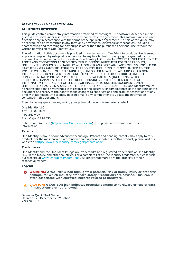#### **Copyright 2022 One Identity LLC.**

#### **ALL RIGHTS RESERVED.**

This guide contains proprietary information protected by copyright. The software described in this guide is furnished under a software license or nondisclosure agreement. This software may be used or copied only in accordance with the terms of the applicable agreement. No part of this guide may be reproduced or transmitted in any form or by any means, electronic or mechanical, including photocopying and recording for any purpose other than the purchaser's personal use without the written permission of One Identity LLC .

The information in this document is provided in connection with One Identity products. No license, express or implied, by estoppel or otherwise, to any intellectual property right is granted by this document or in connection with the sale of One Identity LLC products. EXCEPT AS SET FORTH IN THE TERMS AND CONDITIONS AS SPECIFIED IN THE LICENSE AGREEMENT FOR THIS PRODUCT, ONE IDENTITY ASSUMES NO LIABILITY WHATSOEVER AND DISCLAIMS ANY EXPRESS, IMPLIED OR STATUTORY WARRANTY RELATING TO ITS PRODUCTS INCLUDING, BUT NOT LIMITED TO, THE IMPLIED WARRANTY OF MERCHANTABILITY, FITNESS FOR A PARTICULAR PURPOSE, OR NON-INFRINGEMENT. IN NO EVENT SHALL ONE IDENTITY BE LIABLE FOR ANY DIRECT, INDIRECT, CONSEQUENTIAL, PUNITIVE, SPECIAL OR INCIDENTAL DAMAGES (INCLUDING, WITHOUT LIMITATION, DAMAGES FOR LOSS OF PROFITS, BUSINESS INTERRUPTION OR LOSS OF INFORMATION) ARISING OUT OF THE USE OR INABILITY TO USE THIS DOCUMENT, EVEN IF ONE IDENTITY HAS BEEN ADVISED OF THE POSSIBILITY OF SUCH DAMAGES. One Identity makes no representations or warranties with respect to the accuracy or completeness of the contents of this document and reserves the right to make changes to specifications and product descriptions at any time without notice. One Identity does not make any commitment to update the information contained in this document.

If you have any questions regarding your potential use of this material, contact:

One Identity LLC. Attn: LEGAL Dept 4 Polaris Way Aliso Viejo, CA 92656

Refer to our Web site [\(http://www.OneIdentity.com](http://www.oneidentity.com/)) for regional and international office information.

#### **Patents**

One Identity is proud of our advanced technology. Patents and pending patents may apply to this product. For the most current information about applicable patents for this product, please visit our website at [http://www.OneIdentity.com/legal/patents.aspx.](http://www.oneidentity.com/legal/patents.aspx)

#### **Trademarks**

One Identity and the One Identity logo are trademarks and registered trademarks of One Identity LLC. in the U.S.A. and other countries. For a complete list of One Identity trademarks, please visit our website at [www.OneIdentity.com/legal](http://www.oneidentity.com/legal). All other trademarks are the property of their respective owners.

#### **Legend**

**WARNING: A WARNING icon highlights a potential risk of bodily injury or property** œ **damage, for which industry-standard safety precautions are advised. This icon is often associated with electrical hazards related to hardware.**

**CAUTION: A CAUTION icon indicates potential damage to hardware or loss of data if instructions are not followed.**

Defender Quick Start Guide Updated - 29 December 2021, 06:28 Version - 6.2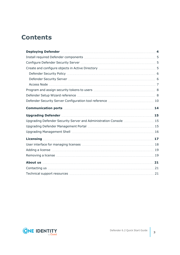## **Contents**

| Deploying Defender Manuscritt Allen Andrew Allen Andrew Allen Andrew Allen Andrew Allen Andrew Allen Andrew A |  |
|---------------------------------------------------------------------------------------------------------------|--|
|                                                                                                               |  |
|                                                                                                               |  |
|                                                                                                               |  |
|                                                                                                               |  |
|                                                                                                               |  |
|                                                                                                               |  |
|                                                                                                               |  |
|                                                                                                               |  |
|                                                                                                               |  |
|                                                                                                               |  |
|                                                                                                               |  |
| Upgrading Defender Security Server and Administration Console  15                                             |  |
|                                                                                                               |  |
|                                                                                                               |  |
|                                                                                                               |  |
|                                                                                                               |  |
|                                                                                                               |  |
|                                                                                                               |  |
|                                                                                                               |  |
|                                                                                                               |  |
|                                                                                                               |  |

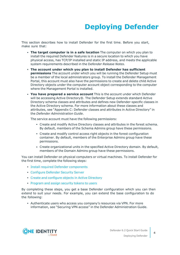# **Deploying Defender**

<span id="page-3-0"></span>This section describes how to install Defender for the first time. Before you start, make sure that:

- <sup>l</sup> **The target computer is in a safe location** The computer on which you plan to install the required Defender features is in a secure location to which you have physical access, has TCP/IP installed and static IP address, and meets the applicable system requirements described in the D*efender Release Notes*.
- <sup>l</sup> **The account under which you plan to install Defender has sufficient permissions** The account under which you will be running the Defender Setup must be a member of the local administrators group. To install the Defender Management Portal, this account must also have the permissions to create and delete child Active Directory objects under the computer account object corresponding to the computer where the Management Portal is installed.
- <sup>l</sup> **You have prepared a service account** This is the account under which Defender will be accessing Active Directory®. The Defender Setup extends standard Active Directory schema classes and attributes and defines new Defender-specific classes in the Active Directory schema. For more information about these classes and attributes, see "Appendix C: Defender classes and attributes in Active Directory" in the *Defender Administration Guide*.

The service account must have the following permissions:

- <sup>l</sup> Create and modify Active Directory classes and attributes in the forest schema. By default, members of the Schema Admins group have these permissions.
- Create and modify control access right objects in the forest configuration container. By default, members of the Enterprise Admins group have these permissions.
- <sup>l</sup> Create organizational units in the specified Active Directory domain. By default, members of the Domain Admins group have these permissions.

You can install Defender on physical computers or virtual machines. To install Defender for the first time, complete the following steps:

- Install required Defender [components](#page-4-0)
- **[Configure](#page-4-1) Defender Security Server**
- Create and [configure](#page-4-2) objects in Active Directory
- [Program](#page-7-0) and assign security tokens to users

By completing these steps, you get a base Defender configuration which you can then extend to suit your needs. For example, you can extend the base configuration to do the following:

• Authenticate users who access you company's resources via VPN. For more information, see "Securing VPN access" in the Defender Administration Guide.

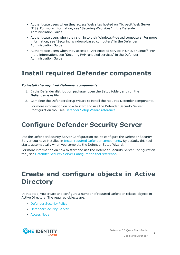- Authenticate users when they access Web sites hosted on Microsoft Web Server (IIS). For more information, see "Securing Web sites" in the Defender Administration Guide.
- Authenticate users when they sign in to their Windows $@$ -based computers. For more information, see "Securing Windows-based computers" in the Defender Administration Guide.
- Authenticate users when they access a PAM-enabled service in UNIX or Linux<sup>®</sup>. For more information, see "Securing PAM-enabled services" in the Defender Administration Guide.

### <span id="page-4-0"></span>**Install required Defender components**

#### *To install the required Defender components*

- 1. In the Defender distribution package, open the Setup folder, and run the **Defender.exe** file.
- 2. Complete the Defender Setup Wizard to install the required Defender components.

For more information on how to start and use the Defender Security Server Configuration tool, see Defender Setup Wizard [reference.](#page-7-1)

### <span id="page-4-1"></span>**Configure Defender Security Server**

Use the Defender Security Server Configuration tool to configure the Defender Security Server you have installed in Install required Defender [components](#page-4-0). By default, this tool starts automatically when you complete the Defender Setup Wizard.

For more information on how to start and use the Defender Security Server Configuration tool, see Defender Security Server [Configuration](#page-9-0) tool reference.

## <span id="page-4-2"></span>**Create and configure objects in Active Directory**

In this step, you create and configure a number of required Defender-related objects in Active Directory. The required objects are:

- [Defender](#page-5-0) Security Policy
- [Defender](#page-5-1) Security Server
- **[Access](#page-6-0) Node**

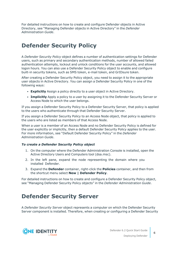For detailed instructions on how to create and configure Defender objects in Active Directory, see "Managing Defender objects in Active Directory" in the *Defender Administration Guide*.

### <span id="page-5-0"></span>**Defender Security Policy**

A *Defender Security Policy* object defines a number of authentication settings for Defender users, such as primary and secondary authentication methods, number of allowed failed authentication attempts, lockout and unlock conditions for the user accounts, and allowed logon hours. You can also use a Defender Security Policy object to enable and configure built-in security tokens, such as SMS token, e-mail token, and GrIDsure token.

After creating a Defender Security Policy object, you need to assign it to the appropriate user objects in Active Directory. You can assign a Defender Security Policy in one of the following ways:

- **Explicitly** Assign a policy directly to a user object in Active Directory.
- **Implicitly** Apply a policy to a user by assigning it to the Defender Security Server or Access Node to which the user belongs.

If you assign a Defender Security Policy to a Defender Security Server, that policy is applied to the users who authenticate through that Defender Security Server.

If you assign a Defender Security Policy to an Access Node object, that policy is applied to the users who are listed as members of that Access Node.

When a user is a member of an Access Node and no Defender Security Policy is defined for the user explicitly or implicitly, then a default Defender Security Policy applies to the user. For more information, see "Default Defender Security Policy" in the *Defender Administration Guide*.

#### *To create a Defender Security Policy object*

- 1. On the computer where the Defender Administration Console is installed, open the Active Directory Users and Computers tool (dsa.msc).
- 2. In the left pane, expand the node representing the domain where you installed Defender.
- 3. Expand the **Defender** container, right-click the **Policies** container, and then from the shortcut menu select **New | Defender Policy**.

For detailed instructions on how to create and configure a Defender Security Policy object, see "Managing Defender Security Policy objects" in the *Defender Administration Guide*.

### <span id="page-5-1"></span>**Defender Security Server**

A *Defender Security Server* object represents a computer on which the Defender Security Server component is installed. Therefore, when creating or configuring a Defender Security

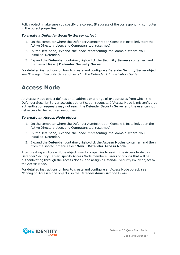Policy object, make sure you specify the correct IP address of the corresponding computer in the object properties.

#### *To create a Defender Security Server object*

- 1. On the computer where the Defender Administration Console is installed, start the Active Directory Users and Computers tool (dsa.msc).
- 2. In the left pane, expand the node representing the domain where you installed Defender.
- 3. Expand the **Defender** container, right-click the **Security Servers** container, and then select **New | Defender Security Server**.

For detailed instructions on how to create and configure a Defender Security Server object, see "Managing Security Server objects" in the *Defender Administration Guide*.

### <span id="page-6-0"></span>**Access Node**

An Access Node object defines an IP address or a range of IP addresses from which the Defender Security Server accepts authentication requests. If Access Node is misconfigured, authentication requests may not reach the Defender Security Server and the user cannot get access to the required resources.

#### *To create an Access Node object*

- 1. On the computer where the Defender Administration Console is installed, open the Active Directory Users and Computers tool (dsa.msc).
- 2. In the left pane, expand the node representing the domain where you installed Defender.
- 3. Expand the **Defender** container, right-click the **Access Nodes** container, and then from the shortcut menu select **New | Defender Access Node**.

After creating an Access Node object, use its properties to assign the Access Node to a Defender Security Server, specify Access Node members (users or groups that will be authenticating through the Access Node), and assign a Defender Security Policy object to the Access Node.

For detailed instructions on how to create and configure an Access Node object, see "Managing Access Node objects" in the *Defender Administration Guide*.

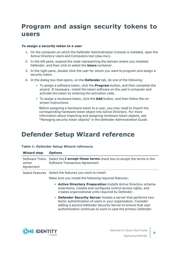## <span id="page-7-0"></span>**Program and assign security tokens to users**

#### *To assign a security token to a user*

- 1. On the computer on which the Defender Administration Console is installed, open the Active Directory Users and Computers tool (dsa.msc).
- 2. In the left pane, expand the node representing the domain where you installed Defender, and then click to select the **Users** container.
- 3. In the right pane, double-click the user for whom you want to program and assign a security token.
- 4. In the dialog box that opens, on the **Defender** tab, do one of the following:
	- To assign a software token, click the **Program** button, and then complete the wizard. If necessary, install the token software on the user's computer and activate the token by entering the activation code.
	- To assign a hardware token, click the **Add** button, and then follow the onscreen instructions.

Before assigning a hardware token to a user, you may need to import the corresponding hardware token object into Active Directory. For more information about importing and assigning hardware token objects, see "Managing security token objects" in the Defender Administration Guide.

### <span id="page-7-1"></span>**Defender Setup Wizard reference**

#### **Table 1: Defender Setup Wizard reference**

| <b>Wizard step</b>  | <b>Options</b>                                                                                                                                                                                                                                                    |
|---------------------|-------------------------------------------------------------------------------------------------------------------------------------------------------------------------------------------------------------------------------------------------------------------|
| action<br>Agreement | Software Trans-Select the I accept these terms check box to accept the terms in the<br>Software Transaction Agreement.                                                                                                                                            |
|                     | Select Features Select the features you want to install.<br>Make sure you install the following required features:                                                                                                                                                |
|                     | • Active Directory Preparation Installs Active Directory schema<br>extensions, creates and configures control access rights, and<br>creates organizational units required by Defender.                                                                            |
|                     | • Defender Security Server Installs a server that performs two-<br>factor authentication of users in your organization. Consider<br>adding a second Defender Security Server to ensure that user<br>authentication continues to work in case the primary Defender |
|                     |                                                                                                                                                                                                                                                                   |

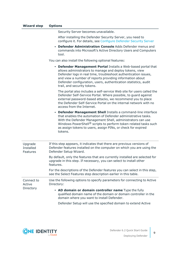Security Server becomes unavailable.

After installing the Defender Security Server, you need to configure it. For details, see [Configure](#page-4-1) Defender Security Server

<sup>l</sup> **Defender Administration Console** Adds Defender menus and commands into Microsoft's Active Directory Users and Computers tool.

You can also install the following optional features:

|                                         | • Defender Management Portal Installs a Web-based portal that<br>allows administrators to manage and deploy tokens, view<br>Defender logs in real time, troubleshoot authentication issues,<br>and view a number of reports providing information about<br>Defender configuration, users, authentication statistics, audit<br>trail, and security tokens. |
|-----------------------------------------|-----------------------------------------------------------------------------------------------------------------------------------------------------------------------------------------------------------------------------------------------------------------------------------------------------------------------------------------------------------|
|                                         | The portal also includes a self-service Web site for users called the<br>Defender Self-Service Portal. Where possible, to guard against<br>external password-based attacks, we recommend you to place<br>the Defender Self-Service Portal on the internal network with no<br>access from the Internet.                                                    |
|                                         | • Defender Management Shell Installs a command-line interface<br>that enables the automation of Defender administrative tasks.<br>With the Defender Management Shell, administrators can use<br>Windows PowerShell® scripts to perform token-related tasks such<br>as assign tokens to users, assign PINs, or check for expired<br>tokens.                |
| Upgrade<br><b>Installed</b><br>Features | If this step appears, it indicates that there are previous versions of<br>Defender features installed on the computer on which you are using the<br>Defender Setup Wizard.                                                                                                                                                                                |
|                                         | By default, only the features that are currently installed are selected for<br>upgrade in this step. If necessary, you can select to install other<br>features.                                                                                                                                                                                           |
|                                         | For the descriptions of the Defender features you can select in this step,<br>see the Select Features step description earlier in this table.                                                                                                                                                                                                             |
| Connect to<br>Active                    | Use the following options to specify parameters for connecting to Active<br>Directory:                                                                                                                                                                                                                                                                    |
| Directory                               | • AD domain or domain controller name Type the fully<br>qualified domain name of the domain or domain controller in the<br>domain where you want to install Defender.                                                                                                                                                                                     |

Defender Setup will use the specified domain to extend Active

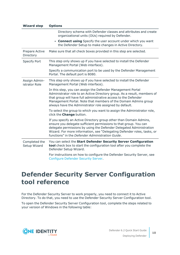| <b>Wizard step</b>             | <b>Options</b>                                                                                                                                                                                                                                                                                                                                |  |  |  |  |
|--------------------------------|-----------------------------------------------------------------------------------------------------------------------------------------------------------------------------------------------------------------------------------------------------------------------------------------------------------------------------------------------|--|--|--|--|
|                                | Directory schema with Defender classes and attributes and create<br>organizational units (OUs) required by Defender.                                                                                                                                                                                                                          |  |  |  |  |
|                                | • Connect using Specify the user account under which you want<br>the Defender Setup to make changes in Active Directory.                                                                                                                                                                                                                      |  |  |  |  |
| Prepare Active<br>Directory    | Make sure that all check boxes provided in this step are selected.                                                                                                                                                                                                                                                                            |  |  |  |  |
| <b>Specify Port</b>            | This step only shows up if you have selected to install the Defender<br>Management Portal (Web interface).                                                                                                                                                                                                                                    |  |  |  |  |
|                                | Specify a communication port to be used by the Defender Management<br>Portal. The default port is 8080.                                                                                                                                                                                                                                       |  |  |  |  |
| Assign Admin-<br>istrator Role | This step only shows up if you have selected to install the Defender<br>Management Portal (Web interface).                                                                                                                                                                                                                                    |  |  |  |  |
|                                | In this step, you can assign the Defender Management Portal<br>Administrator role to an Active Directory group. As a result, members of<br>that group will have full administrative access to the Defender<br>Management Portal. Note that members of the Domain Admins group<br>always have the Administrator role assigned by default.      |  |  |  |  |
|                                | To select the group to which you want to assign the Administrator role,<br>click the <b>Change</b> button.                                                                                                                                                                                                                                    |  |  |  |  |
|                                | If you specify an Active Directory group other than Domain Admins,<br>ensure you delegate sufficient permissions to that group. You can<br>delegate permissions by using the Defender Delegated Administration<br>Wizard. For more information, see "Delegating Defender roles, tasks, or<br>functions" in the Defender Administration Guide. |  |  |  |  |
| Completed the<br>Setup Wizard  | You can select the Start Defender Security Server Configuration<br>tool check box to start the configuration tool after you complete the<br>Defender Setup Wizard.                                                                                                                                                                            |  |  |  |  |
|                                | For instructions on how to configure the Defender Security Server, see<br><b>Configure Defender Security Server.</b>                                                                                                                                                                                                                          |  |  |  |  |

## <span id="page-9-0"></span>**Defender Security Server Configuration tool reference**

For the Defender Security Server to work properly, you need to connect it to Active Directory. To do that, you need to use the Defender Security Server Configuration tool.

To open the Defender Security Server Configuration tool, complete the steps related to your version of Windows in the following table:

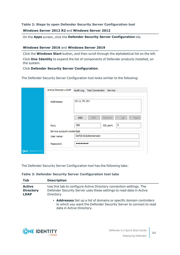#### **Table 2: Steps to open Defender Security Server Configuration tool**

**Windows Server 2012 R2** and **Windows Server 2012**

On the **Apps** screen, click the **Defender Security Server Configuration** tile.

#### **Windows Server 2016** and **Windows Server 2019**

Click the **Windows Start** button, and then scroll through the alphabetical list on the left. Click **One Identity** to expand the list of components of Defender products installed, on the system.

Click **Defender Security Server Configuration**.

The Defender Security Server Configuration tool looks similar to the following:

|                     | Active Directory LDAP       | Audit Log<br><b>Test Connection</b><br>Service |
|---------------------|-----------------------------|------------------------------------------------|
|                     |                             |                                                |
|                     | Addresses:                  | 10.11.70.191                                   |
|                     |                             |                                                |
|                     |                             |                                                |
|                     |                             | Down<br>Ŧ.<br>Add<br>Edit<br>Remove<br>Up      |
|                     |                             |                                                |
|                     | Port:                       | 389<br>0<br>SSL port:                          |
|                     | Service account credentials |                                                |
|                     | User name:                  | Def2016\Administrator                          |
|                     | Password:                   |                                                |
|                     |                             |                                                |
| <b>ONE IDENTITY</b> |                             |                                                |

The Defender Security Server Configuration tool has the following tabs:

data in Active Directory.

**Table 3: Defender Security Server Configuration tool tabs**

| Tab                                              | <b>Description</b>                                                                                                                                       |
|--------------------------------------------------|----------------------------------------------------------------------------------------------------------------------------------------------------------|
| <b>Active</b><br><b>Directory</b><br><b>LDAP</b> | Use this tab to configure Active Directory connection settings. The<br>Defender Security Server uses these settings to read data in Active<br>Directory. |
|                                                  | • Addresses Set up a list of domains or specific domain controllers<br>to which you want the Defender Security Server to connect to read                 |

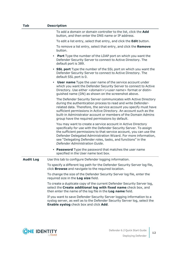| Tab              | <b>Description</b>                                                                                                                                                                                                                                                                                                                                                                                |  |  |  |
|------------------|---------------------------------------------------------------------------------------------------------------------------------------------------------------------------------------------------------------------------------------------------------------------------------------------------------------------------------------------------------------------------------------------------|--|--|--|
|                  | To add a domain or domain controller to the list, click the Add<br>button, and then enter the DNS name or IP address.                                                                                                                                                                                                                                                                             |  |  |  |
|                  | To edit a list entry, select that entry, and click the Edit button.                                                                                                                                                                                                                                                                                                                               |  |  |  |
|                  | To remove a list entry, select that entry, and click the Remove<br>button.                                                                                                                                                                                                                                                                                                                        |  |  |  |
|                  | Port Type the number of the LDAP port on which you want the<br>Defender Security Server to connect to Active Directory. The<br>default port is 389.                                                                                                                                                                                                                                               |  |  |  |
|                  | • SSL port Type the number of the SSL port on which you want the<br>Defender Security Server to connect to Active Directory. The<br>default SSL port is 0.                                                                                                                                                                                                                                        |  |  |  |
|                  | <b>User name</b> Type the user name of the service account under<br>$\bullet$<br>which you want the Defender Security Server to connect to Active<br>Directory. Use either < domain>\ <user name=""> format or distin-<br/>guished name (DN) as shown on the screenshot above.</user>                                                                                                             |  |  |  |
|                  | The Defender Security Server communicates with Active Directory<br>during the authentication process to read and write Defender-<br>related data. Therefore, the service account you specify must have<br>sufficient permissions in Active Directory. An account such as the<br>built-in Administrator account or members of the Domain Admins<br>group have the required permissions by default. |  |  |  |
|                  | You may want to create a service account in Active Directory<br>specifically for use with the Defender Security Server. To assign<br>the sufficient permissions to that service account, you can use the<br>Defender Delegated Administration Wizard. For more information,<br>see "Delegating Defender roles, tasks, and functions" in the<br>Defender Administration Guide.                     |  |  |  |
|                  | • Password Type the password that matches the user name<br>specified in the User name text box.                                                                                                                                                                                                                                                                                                   |  |  |  |
| <b>Audit Log</b> | Use this tab to configure Defender logging information.                                                                                                                                                                                                                                                                                                                                           |  |  |  |
|                  | To specify a different log path for the Defender Security Server log file,<br>click <b>Browse</b> and navigate to the required location.                                                                                                                                                                                                                                                          |  |  |  |
|                  | To change the size of the Defender Security Server log file, enter the<br>required size in the Log size field.                                                                                                                                                                                                                                                                                    |  |  |  |
|                  | To create a duplicate copy of the current Defender Security Server log,<br>select the Create additional log with fixed name check box, and<br>then enter the name of the log file in the Log name field.                                                                                                                                                                                          |  |  |  |
|                  | If you want to save Defender Security Server logging information to a<br>syslog server, as well as to the Defender Security Server log, select the<br>Enable syslog check box and click Add.                                                                                                                                                                                                      |  |  |  |

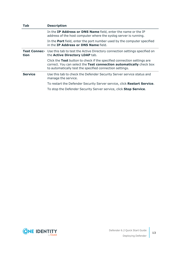| Tab            | <b>Description</b>                                                                                                                                                                                         |
|----------------|------------------------------------------------------------------------------------------------------------------------------------------------------------------------------------------------------------|
|                | In the IP Address or DNS Name field, enter the name or the IP<br>address of the host computer where the syslog server is running.                                                                          |
|                | In the <b>Port</b> field, enter the port number used by the computer specified<br>in the IP Address or DNS Name field.                                                                                     |
| tion           | Test Connec- Use this tab to test the Active Directory connection settings specified on<br>the Active Directory LDAP tab.                                                                                  |
|                | Click the Test button to check if the specified connection settings are<br>correct. You can select the Test connection automatically check box<br>to automatically test the specified connection settings. |
| <b>Service</b> | Use this tab to check the Defender Security Server service status and<br>manage the service.                                                                                                               |
|                | To restart the Defender Security Server service, click Restart Service.                                                                                                                                    |
|                | To stop the Defender Security Server service, click Stop Service.                                                                                                                                          |

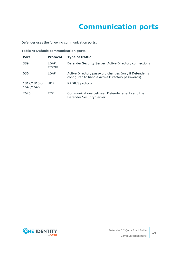# **Communication ports**

<span id="page-13-0"></span>Defender uses the following communication ports:

|  | <b>Table 4: Default communication ports</b> |  |
|--|---------------------------------------------|--|
|--|---------------------------------------------|--|

| <b>Port</b>               | <b>Protocol</b> | <b>Type of traffic</b>                                                                                      |
|---------------------------|-----------------|-------------------------------------------------------------------------------------------------------------|
| 389                       | LDAP,<br>TCP/IP | Defender Security Server, Active Directory connections                                                      |
| 636                       | LDAP            | Active Directory password changes (only if Defender is<br>configured to handle Active Directory passwords). |
| 1812/1813 or<br>1645/1646 | <b>UDP</b>      | RADIUS protocol                                                                                             |
| 2626                      | TCP             | Communications between Defender agents and the<br>Defender Security Server.                                 |

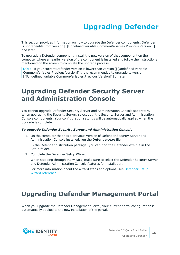# **Upgrading Defender**

<span id="page-14-0"></span>This section provides information on how to upgrade the Defender components. Defender is upgradeable from version [[[Undefined variable CommonVariables.Previous Version]]] and later.

To upgrade a Defender component, install the new version of that component on the computer where an earlier version of the component is installed and follow the instructions mentioned on the screen to complete the upgrade process.

NOTE: If your current Defender version is lower than version [[[Undefined variable CommonVariables.Previous Version]]], it is recommended to upgrade to version [[[Undefined variable CommonVariables.Previous Version]]] or later.

## <span id="page-14-1"></span>**Upgrading Defender Security Server and Administration Console**

You cannot upgrade Defender Security Server and Administration Console separately. When upgrading the Security Server, select both the Security Server and Administration Console components. Your configuration settings will be automatically applied when the upgrade is complete.

#### *To upgrade Defender Security Server and Administration Console*

1. On the computer that has a previous version of Defender Security Server and Administration Console installed, run the **Defender.exe** file.

In the Defender distribution package, you can find the Defender.exe file in the Setup folder.

2. Complete the Defender Setup Wizard.

When stepping through the wizard, make sure to select the Defender Security Server and Defender Administration Console features for installation.

For more information about the wizard steps and options, see [Defender](#page-7-1) Setup Wizard [reference](#page-7-1).

## <span id="page-14-2"></span>**Upgrading Defender Management Portal**

When you upgrade the Defender Management Portal, your current portal configuration is automatically applied to the new installation of the portal.



**15**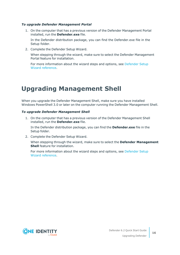#### *To upgrade Defender Management Portal*

1. On the computer that has a previous version of the Defender Management Portal installed, run the **Defender.exe** file.

In the Defender distribution package, you can find the Defender.exe file in the Setup folder.

2. Complete the Defender Setup Wizard.

When stepping through the wizard, make sure to select the Defender Management Portal feature for installation.

For more information about the wizard steps and options, see [Defender](#page-7-1) Setup Wizard [reference](#page-7-1).

## <span id="page-15-0"></span>**Upgrading Management Shell**

When you upgrade the Defender Management Shell, make sure you have installed Windows PowerShell 3.0 or later on the computer running the Defender Management Shell.

#### *To upgrade Defender Management Shell*

1. On the computer that has a previous version of the Defender Management Shell installed, run the **Defender.exe** file.

In the Defender distribution package, you can find the **Defender.exe** file in the Setup folder.

2. Complete the Defender Setup Wizard.

When stepping through the wizard, make sure to select the **Defender Management Shell** feature for installation.

For more information about the wizard steps and options, see [Defender](#page-7-1) Setup Wizard [reference](#page-7-1).

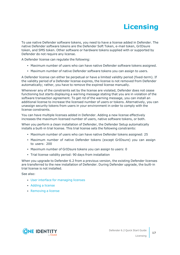# **Licensing**

<span id="page-16-0"></span>To use native Defender software tokens, you need to have a license added in Defender. The native Defender software tokens are the Defender Soft Token, e-mail token, GrIDsure token, and SMS token. Other software or hardware tokens supplied with or supported by Defender do not require any license.

A Defender license can regulate the following:

- Maximum number of users who can have native Defender software tokens assigned.
- Maximum number of native Defender software tokens you can assign to users.

A Defender license can either be perpetual or have a limited validity period (fixed-term). If the validity period of a Defender license expires, the license is not removed from Defender automatically; rather, you have to remove the expired license manually.

Whenever any of the constraints set by the license are violated, Defender does not cease functioning but starts displaying a warning message stating that you are in violation of the software transaction agreement. To get rid of the warning message, you can install an additional license to increase the licensed number of users or tokens. Alternatively, you can unassign security tokens from users in your environment in order to comply with the license constraints.

You can have multiple licenses added in Defender. Adding a new license effectively increases the maximum licensed number of users, native software tokens, or both.

When you perform a clean installation of Defender, the Defender Setup automatically installs a built-in trial license. This trial license sets the following constraints:

- Maximum number of users who can have native Defender tokens assigned: 25
- Maximum number of native Defender tokens (except GrIDsure) you can assign to users: 200
- Maximum number of GrIDsure tokens you can assign to users: 0
- Trial license validity period: 90 days from installation

When you upgrade to Defender 6.2 from a previous version, the existing Defender licenses are transferred to the new installation of Defender. During Defender upgrade, the built-in trial license is not installed.

See also:

- User interface for [managing](#page-17-0) licenses
- [Adding](#page-18-0) a license
- [Removing](#page-18-1) a license

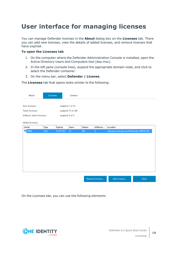## <span id="page-17-0"></span>**User interface for managing licenses**

You can manage Defender licenses in the **About** dialog box on the **Licenses** tab. There you can add new licenses, view the details of added licenses, and remove licenses that have expired.

#### **To open the Licenses tab**

- 1. On the computer where the Defender Administration Console is installed, open the Active Directory Users and Computers tool (dsa.msc).
- 2. In the left pane (console tree), expand the appropriate domain node, and click to select the Defender container.
- 3. On the menu bar, select **Defender | License**.

The **Licenses** tab that opens looks similar to the following:

| About                    | Licenses |                  | Contact            |               |                |                                           |      |
|--------------------------|----------|------------------|--------------------|---------------|----------------|-------------------------------------------|------|
| User licenses:           |          | assigned 7 of 25 |                    |               |                |                                           |      |
| <b>Token licenses:</b>   |          |                  | assigned 15 of 200 |               |                |                                           |      |
| GrIDsure token licenses: |          | assigned 0 of 0  |                    |               |                |                                           |      |
|                          |          |                  |                    |               |                |                                           |      |
| Added licenses:          |          |                  |                    |               |                |                                           |      |
| Serial                   | Type     | <b>Expires</b>   | <b>Users</b>       | <b>Tokens</b> | GrlDsure       | Location                                  |      |
| <b>RIAL</b>              | Trial    | 5/29/2017        | 25                 | 200           | $\mathbf{0}$   | rebrand.cork.lab.local/Defender/DEFLICTRI |      |
|                          |          |                  |                    |               |                |                                           |      |
|                          |          |                  |                    |               |                |                                           |      |
|                          |          |                  |                    |               |                |                                           |      |
|                          |          |                  |                    |               |                |                                           |      |
|                          |          |                  |                    |               |                |                                           |      |
|                          |          |                  |                    |               |                |                                           |      |
|                          |          |                  |                    |               |                |                                           |      |
|                          |          |                  |                    |               |                |                                           |      |
|                          |          |                  |                    |               |                |                                           |      |
|                          |          |                  |                    |               |                |                                           |      |
|                          |          |                  |                    |               |                |                                           |      |
|                          |          |                  |                    |               | Remove License | Add License                               | Done |

On the Licenses tab, you can use the following elements:

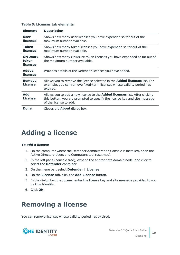| <b>Element</b>                              | <b>Description</b>                                                                                                                                                                       |
|---------------------------------------------|------------------------------------------------------------------------------------------------------------------------------------------------------------------------------------------|
| <b>User</b><br><b>licenses</b>              | Shows how many user licenses you have expended so far out of the<br>maximum number available.                                                                                            |
| Token<br><b>licenses</b>                    | Shows how many token licenses you have expended so far out of the<br>maximum number available.                                                                                           |
| <b>GrIDsure</b><br>token<br><b>licenses</b> | Shows how many GrIDsure token licenses you have expended so far out of<br>the maximum number available.                                                                                  |
| <b>Added</b><br><b>licenses</b>             | Provides details of the Defender licenses you have added.                                                                                                                                |
| <b>Remove</b><br>License                    | Allows you to remove the license selected in the <b>Added licenses</b> list. For<br>example, you can remove fixed-term licenses whose validity period has<br>expired.                    |
| <b>Add</b><br>License                       | Allows you to add a new license to the <b>Added licenses</b> list. After clicking<br>this button, you are prompted to specify the license key and site message<br>of the license to add. |
| Done                                        | Closes the <b>About</b> dialog box.                                                                                                                                                      |

#### **Table 5: Licenses tab elements**

### <span id="page-18-0"></span>**Adding a license**

#### *To add a license*

- 1. On the computer where the Defender Administration Console is installed, open the Active Directory Users and Computers tool (dsa.msc).
- 2. In the left pane (console tree), expand the appropriate domain node, and click to select the **Defender** container.
- 3. On the menu bar, select **Defender | License**.
- 4. On the **License** tab, click the **Add License** button.
- 5. In the dialog box that opens, enter the license key and site message provided to you by One Identity.
- <span id="page-18-1"></span>6. Click **OK**.

### **Removing a license**

You can remove licenses whose validity period has expired.

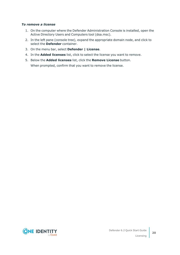#### *To remove a license*

- 1. On the computer where the Defender Administration Console is installed, open the Active Directory Users and Computers tool (dsa.msc).
- 2. In the left pane (console tree), expand the appropriate domain node, and click to select the **Defender** container.
- 3. On the menu bar, select **Defender | License**.
- 4. In the **Added licenses** list, click to select the license you want to remove.
- 5. Below the **Added licenses** list, click the **Remove License** button. When prompted, confirm that you want to remove the license.